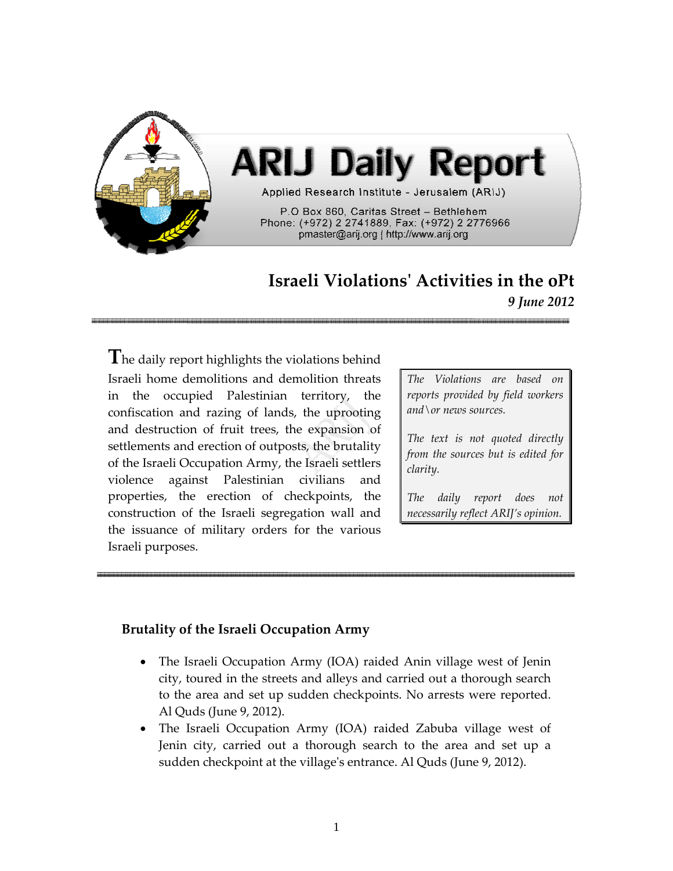

## **Israeli Violationsʹ Activities in the oPt** *9 June 2012*

**T**he daily report highlights the violations behind Israeli home demolitions and demolition threats in the occupied Palestinian territory, the confiscation and razing of lands, the uprooting and destruction of fruit trees, the expansion of settlements and erection of outposts, the brutality of the Israeli Occupation Army, the Israeli settlers violence against Palestinian civilians and properties, the erection of checkpoints, the construction of the Israeli segregation wall and the issuance of military orders for the various Israeli purposes.

*The Violations are based on reports provided by field workers and\or news sources.*

*The text is not quoted directly from the sources but is edited for clarity.*

*The daily report does not necessarily reflect ARIJ's opinion.*

## **Brutality of the Israeli Occupation Army**

- The Israeli Occupation Army (IOA) raided Anin village west of Jenin city, toured in the streets and alleys and carried out a thorough search to the area and set up sudden checkpoints. No arrests were reported. Al Quds (June 9, 2012).
- The Israeli Occupation Army (IOA) raided Zabuba village west of Jenin city, carried out a thorough search to the area and set up a sudden checkpoint at the villageʹs entrance. Al Quds (June 9, 2012).